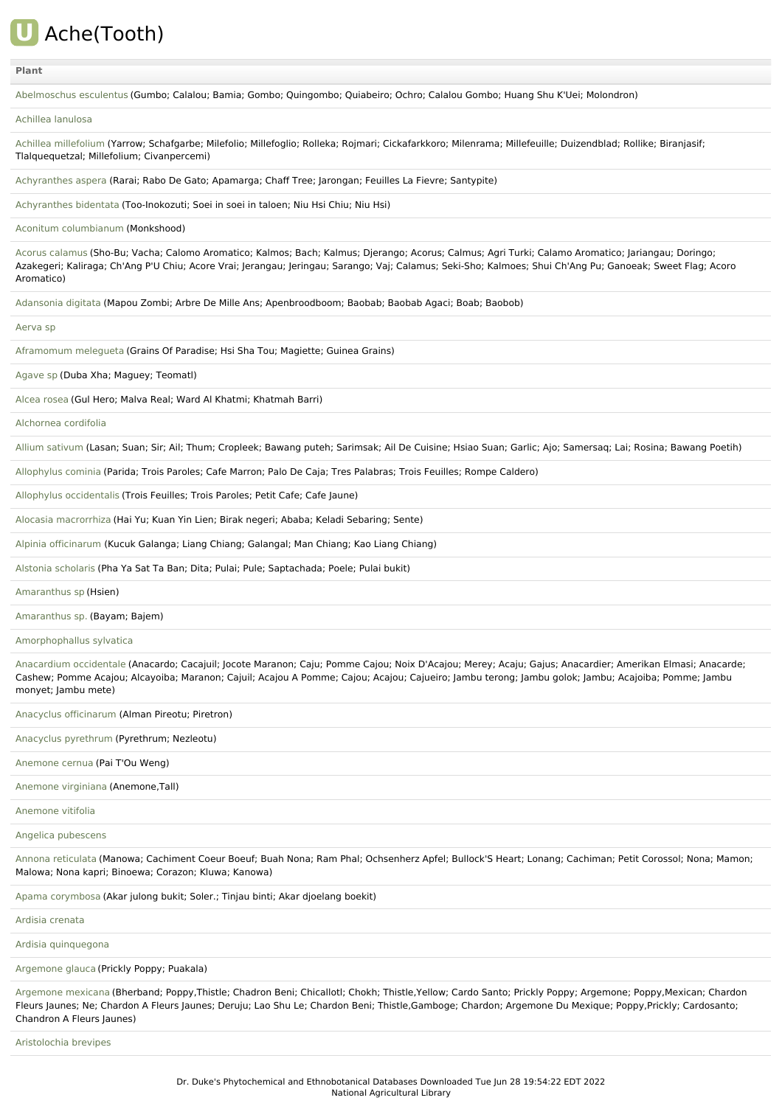

[Abelmoschus](file:///phytochem/ethnoPlants/show/130) esculentus (Gumbo; Calalou; Bamia; Gombo; Quingombo; Quiabeiro; Ochro; Calalou Gombo; Huang Shu K'Uei; Molondron)

#### Achillea [lanulosa](file:///phytochem/ethnoPlants/show/1535)

Achillea [millefolium](file:///phytochem/ethnoPlants/show/1) (Yarrow; Schafgarbe; Milefolio; Millefoglio; Rolleka; Rojmari; Cickafarkkoro; Milenrama; Millefeuille; Duizendblad; Rollike; Biranjasif; Tlalquequetzal; Millefolium; Civanpercemi)

[Achyranthes](file:///phytochem/ethnoPlants/show/3294) aspera (Rarai; Rabo De Gato; Apamarga; Chaff Tree; Jarongan; Feuilles La Fievre; Santypite)

[Achyranthes](file:///phytochem/ethnoPlants/show/555) bidentata (Too-Inokozuti; Soei in soei in taloen; Niu Hsi Chiu; Niu Hsi)

Aconitum [columbianum](file:///phytochem/ethnoPlants/show/8435) (Monkshood)

Acorus [calamus](file:///phytochem/ethnoPlants/show/133) (Sho-Bu; Vacha; Calomo Aromatico; Kalmos; Bach; Kalmus; Djerango; Acorus; Calmus; Agri Turki; Calamo Aromatico; Jariangau; Doringo; Azakegeri; Kaliraga; Ch'Ang P'U Chiu; Acore Vrai; Jerangau; Jeringau; Sarango; Vaj; Calamus; Seki-Sho; Kalmoes; Shui Ch'Ang Pu; Ganoeak; Sweet Flag; Acoro Aromatico)

[Adansonia](file:///phytochem/ethnoPlants/show/5873) digitata (Mapou Zombi; Arbre De Mille Ans; Apenbroodboom; Baobab; Baobab Agaci; Boab; Baobob)

[Aerva](file:///phytochem/ethnoPlants/show/10322) sp

[Aframomum](file:///phytochem/ethnoPlants/show/2904) melegueta (Grains Of Paradise; Hsi Sha Tou; Magiette; Guinea Grains)

[Agave](file:///phytochem/ethnoPlants/show/1585) sp (Duba Xha; Maguey; Teomatl)

[Alcea](file:///phytochem/ethnoPlants/show/2911) rosea (Gul Hero; Malva Real; Ward Al Khatmi; Khatmah Barri)

[Alchornea](file:///phytochem/ethnoPlants/show/11) cordifolia

Allium [sativum](file:///phytochem/ethnoPlants/show/477) (Lasan; Suan; Sir; Ail; Thum; Cropleek; Bawang puteh; Sarimsak; Ail De Cuisine; Hsiao Suan; Garlic; Ajo; Samersaq; Lai; Rosina; Bawang Poetih)

[Allophylus](file:///phytochem/ethnoPlants/show/848) cominia (Parida; Trois Paroles; Cafe Marron; Palo De Caja; Tres Palabras; Trois Feuilles; Rompe Caldero)

Allophylus [occidentalis](file:///phytochem/ethnoPlants/show/849) (Trois Feuilles; Trois Paroles; Petit Cafe; Cafe Jaune)

Alocasia [macrorrhiza](file:///phytochem/ethnoPlants/show/1587) (Hai Yu; Kuan Yin Lien; Birak negeri; Ababa; Keladi Sebaring; Sente)

Alpinia [officinarum](file:///phytochem/ethnoPlants/show/1078) (Kucuk Galanga; Liang Chiang; Galangal; Man Chiang; Kao Liang Chiang)

Alstonia [scholaris](file:///phytochem/ethnoPlants/show/562) (Pha Ya Sat Ta Ban; Dita; Pulai; Pule; Saptachada; Poele; Pulai bukit)

[Amaranthus](file:///phytochem/ethnoPlants/show/4956) sp (Hsien)

[Amaranthus](file:///phytochem/ethnoPlants/show/3879) sp. (Bayam; Bajem)

[Amorphophallus](file:///phytochem/ethnoPlants/show/1056) sylvatica

[Anacardium](file:///phytochem/ethnoPlants/show/2752) occidentale (Anacardo; Cacajuil; Jocote Maranon; Caju; Pomme Cajou; Noix D'Acajou; Merey; Acaju; Gajus; Anacardier; Amerikan Elmasi; Anacarde; Cashew; Pomme Acajou; Alcayoiba; Maranon; Cajuil; Acajou A Pomme; Cajou; Acajou; Cajueiro; Jambu terong; Jambu golok; Jambu; Acajoiba; Pomme; Jambu monyet; Jambu mete)

Anacyclus [officinarum](file:///phytochem/ethnoPlants/show/4093) (Alman Pireotu; Piretron)

Anacyclus [pyrethrum](file:///phytochem/ethnoPlants/show/7881) (Pyrethrum; Nezleotu)

[Anemone](file:///phytochem/ethnoPlants/show/16) cernua (Pai T'Ou Weng)

[Anemone](file:///phytochem/ethnoPlants/show/5269) virginiana (Anemone,Tall)

[Anemone](file:///phytochem/ethnoPlants/show/7748) vitifolia

Angelica [pubescens](file:///phytochem/ethnoPlants/show/281)

Annona [reticulata](file:///phytochem/ethnoPlants/show/2922) (Manowa; Cachiment Coeur Boeuf; Buah Nona; Ram Phal; Ochsenherz Apfel; Bullock'S Heart; Lonang; Cachiman; Petit Corossol; Nona; Mamon; Malowa; Nona kapri; Binoewa; Corazon; Kluwa; Kanowa)

Apama [corymbosa](file:///phytochem/ethnoPlants/show/4040) (Akar julong bukit; Soler.; Tinjau binti; Akar djoelang boekit)

Ardisia [crenata](file:///phytochem/ethnoPlants/show/420)

Ardisia [quinquegona](file:///phytochem/ethnoPlants/show/6381)

[Argemone](file:///phytochem/ethnoPlants/show/8426) glauca (Prickly Poppy; Puakala)

[Argemone](file:///phytochem/ethnoPlants/show/569) mexicana (Bherband; Poppy,Thistle; Chadron Beni; Chicallotl; Chokh; Thistle,Yellow; Cardo Santo; Prickly Poppy; Argemone; Poppy,Mexican; Chardon Fleurs Jaunes; Ne; Chardon A Fleurs Jaunes; Deruju; Lao Shu Le; Chardon Beni; Thistle,Gamboge; Chardon; Argemone Du Mexique; Poppy,Prickly; Cardosanto; Chandron A Fleurs Jaunes)

[Aristolochia](file:///phytochem/ethnoPlants/show/10323) brevipes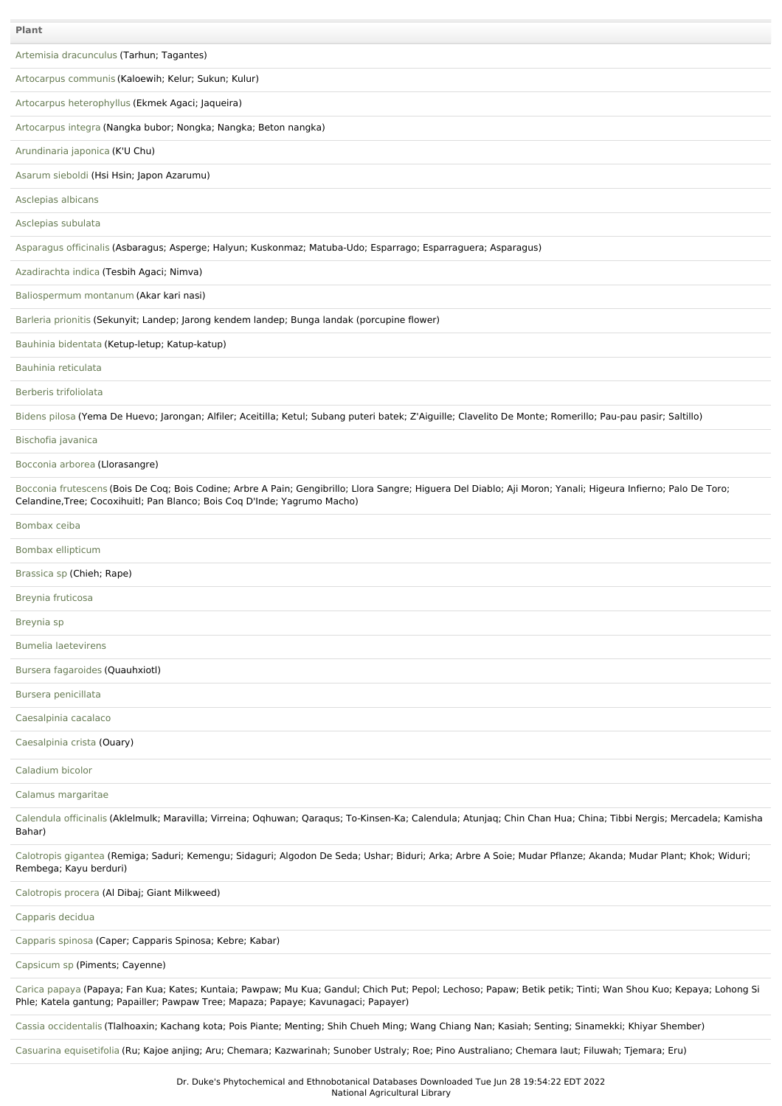| Plant                                                                                                                                                                                                                                               |
|-----------------------------------------------------------------------------------------------------------------------------------------------------------------------------------------------------------------------------------------------------|
| Artemisia dracunculus (Tarhun; Tagantes)                                                                                                                                                                                                            |
| Artocarpus communis (Kaloewih; Kelur; Sukun; Kulur)                                                                                                                                                                                                 |
| Artocarpus heterophyllus (Ekmek Agaci; Jaqueira)                                                                                                                                                                                                    |
| Artocarpus integra (Nangka bubor; Nongka; Nangka; Beton nangka)                                                                                                                                                                                     |
| Arundinaria japonica (K'U Chu)                                                                                                                                                                                                                      |
| Asarum sieboldi (Hsi Hsin; Japon Azarumu)                                                                                                                                                                                                           |
| Asclepias albicans                                                                                                                                                                                                                                  |
| Asclepias subulata                                                                                                                                                                                                                                  |
| Asparagus officinalis (Asbaragus; Asperge; Halyun; Kuskonmaz; Matuba-Udo; Esparrago; Esparraguera; Asparagus)                                                                                                                                       |
| Azadirachta indica (Tesbih Agaci; Nimva)                                                                                                                                                                                                            |
| Baliospermum montanum (Akar kari nasi)                                                                                                                                                                                                              |
| Barleria prionitis (Sekunyit; Landep; Jarong kendem landep; Bunga landak (porcupine flower)                                                                                                                                                         |
| Bauhinia bidentata (Ketup-letup; Katup-katup)                                                                                                                                                                                                       |
| Bauhinia reticulata                                                                                                                                                                                                                                 |
| Berberis trifoliolata                                                                                                                                                                                                                               |
| Bidens pilosa (Yema De Huevo; Jarongan; Alfiler; Aceitilla; Ketul; Subang puteri batek; Z'Aiguille; Clavelito De Monte; Romerillo; Pau-pau pasir; Saltillo)                                                                                         |
| Bischofia javanica                                                                                                                                                                                                                                  |
| Bocconia arborea (Llorasangre)                                                                                                                                                                                                                      |
| Bocconia frutescens (Bois De Coq; Bois Codine; Arbre A Pain; Gengibrillo; Llora Sangre; Higuera Del Diablo; Aji Moron; Yanali; Higeura Infierno; Palo De Toro;<br>Celandine, Tree; Cocoxihuitl; Pan Blanco; Bois Coq D'Inde; Yagrumo Macho)         |
| Bombax ceiba                                                                                                                                                                                                                                        |
| Bombax ellipticum                                                                                                                                                                                                                                   |
| Brassica sp (Chieh; Rape)                                                                                                                                                                                                                           |
| Breynia fruticosa                                                                                                                                                                                                                                   |
| Breynia sp                                                                                                                                                                                                                                          |
| <b>Bumelia laetevirens</b>                                                                                                                                                                                                                          |
| Bursera fagaroides (Quauhxiotl)                                                                                                                                                                                                                     |
| Bursera penicillata                                                                                                                                                                                                                                 |
| Caesalpinia cacalaco                                                                                                                                                                                                                                |
| Caesalpinia crista (Ouary)                                                                                                                                                                                                                          |
| Caladium bicolor                                                                                                                                                                                                                                    |
| Calamus margaritae                                                                                                                                                                                                                                  |
| Calendula officinalis (Aklelmulk; Maravilla; Virreina; Oqhuwan; Qaraqus; To-Kinsen-Ka; Calendula; Atunjaq; Chin Chan Hua; China; Tibbi Nergis; Mercadela; Kamisha<br>Bahar)                                                                         |
| Calotropis gigantea (Remiga; Saduri; Kemengu; Sidaguri; Algodon De Seda; Ushar; Biduri; Arka; Arbre A Soie; Mudar Pflanze; Akanda; Mudar Plant; Khok; Widuri;<br>Rembega; Kayu berduri)                                                             |
| Calotropis procera (Al Dibaj; Giant Milkweed)                                                                                                                                                                                                       |
| Capparis decidua                                                                                                                                                                                                                                    |
| Capparis spinosa (Caper; Capparis Spinosa; Kebre; Kabar)                                                                                                                                                                                            |
| Capsicum sp (Piments; Cayenne)                                                                                                                                                                                                                      |
| Carica papaya (Papaya; Fan Kua; Kates; Kuntaia; Pawpaw; Mu Kua; Gandul; Chich Put; Pepol; Lechoso; Papaw; Betik petik; Tinti; Wan Shou Kuo; Kepaya; Lohong Si<br>Phle; Katela gantung; Papailler; Pawpaw Tree; Mapaza; Papaye; Kavunagaci; Papayer) |
| Cassia occidentalis (Tlalhoaxin; Kachang kota; Pois Piante; Menting; Shih Chueh Ming; Wang Chiang Nan; Kasiah; Senting; Sinamekki; Khiyar Shember)                                                                                                  |
| Casuarina equisetifolia (Ru; Kajoe anjing; Aru; Chemara; Kazwarinah; Sunober Ustraly; Roe; Pino Australiano; Chemara laut; Filuwah; Tjemara; Eru)                                                                                                   |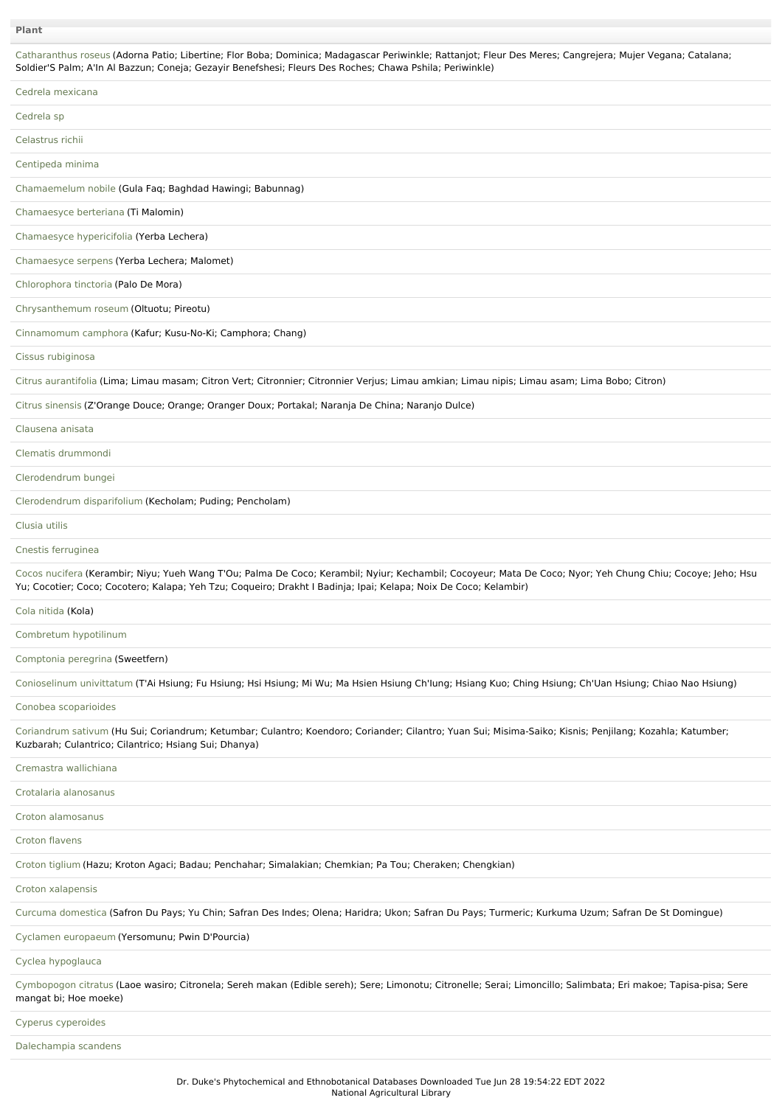| Catharanthus roseus (Adorna Patio; Libertine; Flor Boba; Dominica; Madagascar Periwinkle; Rattanjot; Fleur Des Meres; Cangrejera; Mujer Vegana; Catalana;<br>Soldier'S Palm; A'In Al Bazzun; Coneja; Gezayir Benefshesi; Fleurs Des Roches; Chawa Pshila; Periwinkle)          |
|--------------------------------------------------------------------------------------------------------------------------------------------------------------------------------------------------------------------------------------------------------------------------------|
| Cedrela mexicana                                                                                                                                                                                                                                                               |
| Cedrela sp                                                                                                                                                                                                                                                                     |
| Celastrus richii                                                                                                                                                                                                                                                               |
| Centipeda minima                                                                                                                                                                                                                                                               |
| Chamaemelum nobile (Gula Faq; Baghdad Hawingi; Babunnag)                                                                                                                                                                                                                       |
| Chamaesyce berteriana (Ti Malomin)                                                                                                                                                                                                                                             |
| Chamaesyce hypericifolia (Yerba Lechera)                                                                                                                                                                                                                                       |
| Chamaesyce serpens (Yerba Lechera; Malomet)                                                                                                                                                                                                                                    |
| Chlorophora tinctoria (Palo De Mora)                                                                                                                                                                                                                                           |
| Chrysanthemum roseum (Oltuotu; Pireotu)                                                                                                                                                                                                                                        |
| Cinnamomum camphora (Kafur; Kusu-No-Ki; Camphora; Chang)                                                                                                                                                                                                                       |
| Cissus rubiginosa                                                                                                                                                                                                                                                              |
| Citrus aurantifolia (Lima; Limau masam; Citron Vert; Citronnier; Citronnier Verjus; Limau amkian; Limau nipis; Limau asam; Lima Bobo; Citron)                                                                                                                                  |
| Citrus sinensis (Z'Orange Douce; Orange; Oranger Doux; Portakal; Naranja De China; Naranjo Dulce)                                                                                                                                                                              |
| Clausena anisata                                                                                                                                                                                                                                                               |
| Clematis drummondi                                                                                                                                                                                                                                                             |
| Clerodendrum bungei                                                                                                                                                                                                                                                            |
| Clerodendrum disparifolium (Kecholam; Puding; Pencholam)                                                                                                                                                                                                                       |
| Clusia utilis                                                                                                                                                                                                                                                                  |
| Cnestis ferruginea                                                                                                                                                                                                                                                             |
| Cocos nucifera (Kerambir; Niyu; Yueh Wang T'Ou; Palma De Coco; Kerambil; Nyiur; Kechambil; Cocoyeur; Mata De Coco; Nyor; Yeh Chung Chiu; Cocoye; Jeho; Hsu<br>Yu; Cocotier; Coco; Cocotero; Kalapa; Yeh Tzu; Coqueiro; Drakht I Badinja; Ipai; Kelapa; Noix De Coco; Kelambir) |
|                                                                                                                                                                                                                                                                                |
| Cola nitida (Kola)                                                                                                                                                                                                                                                             |
| Combretum hypotilinum                                                                                                                                                                                                                                                          |
| Comptonia peregrina (Sweetfern)                                                                                                                                                                                                                                                |
| Conioselinum univittatum (T'Ai Hsiung; Fu Hsiung; Hsi Hsiung; Mi Wu; Ma Hsien Hsiung Ch'lung; Hsiang Kuo; Ching Hsiung; Ch'Uan Hsiung; Chiao Nao Hsiung)                                                                                                                       |
| Conobea scoparioides                                                                                                                                                                                                                                                           |
| Coriandrum sativum (Hu Sui; Coriandrum; Ketumbar; Culantro; Koendoro; Coriander; Cilantro; Yuan Sui; Misima-Saiko; Kisnis; Penjilang; Kozahla; Katumber;<br>Kuzbarah; Culantrico; Cilantrico; Hsiang Sui; Dhanya)                                                              |
| Cremastra wallichiana                                                                                                                                                                                                                                                          |
| Crotalaria alanosanus                                                                                                                                                                                                                                                          |
| Croton alamosanus                                                                                                                                                                                                                                                              |
| Croton flavens                                                                                                                                                                                                                                                                 |
| Croton tiglium (Hazu; Kroton Agaci; Badau; Penchahar; Simalakian; Chemkian; Pa Tou; Cheraken; Chengkian)                                                                                                                                                                       |
| Croton xalapensis                                                                                                                                                                                                                                                              |
| Curcuma domestica (Safron Du Pays; Yu Chin; Safran Des Indes; Olena; Haridra; Ukon; Safran Du Pays; Turmeric; Kurkuma Uzum; Safran De St Domingue)                                                                                                                             |
| Cyclamen europaeum (Yersomunu; Pwin D'Pourcia)                                                                                                                                                                                                                                 |
| Cyclea hypoglauca                                                                                                                                                                                                                                                              |
| Cymbopogon citratus (Laoe wasiro; Citronela; Sereh makan (Edible sereh); Sere; Limonotu; Citronelle; Serai; Limoncillo; Salimbata; Eri makoe; Tapisa-pisa; Sere<br>mangat bi; Hoe moeke)                                                                                       |
| Cyperus cyperoides                                                                                                                                                                                                                                                             |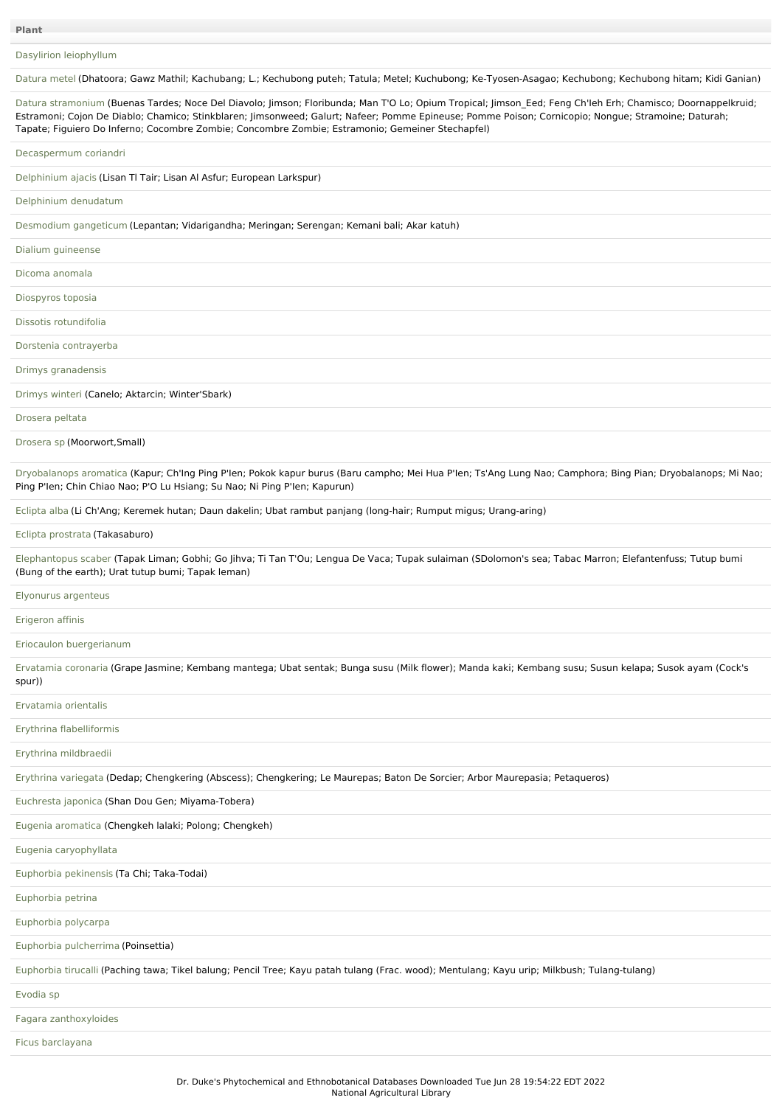# Dasylirion [leiophyllum](file:///phytochem/ethnoPlants/show/10328)

[Datura](file:///phytochem/ethnoPlants/show/632) metel (Dhatoora; Gawz Mathil; Kachubang; L.; Kechubong puteh; Tatula; Metel; Kuchubong; Ke-Tyosen-Asagao; Kechubong; Kechubong hitam; Kidi Ganian)

Datura [stramonium](file:///phytochem/ethnoPlants/show/497) (Buenas Tardes; Noce Del Diavolo; Jimson; Floribunda; Man T'O Lo; Opium Tropical; Jimson\_Eed; Feng Ch'Ieh Erh; Chamisco; Doornappelkruid; Estramoni; Cojon De Diablo; Chamico; Stinkblaren; Jimsonweed; Galurt; Nafeer; Pomme Epineuse; Pomme Poison; Cornicopio; Nongue; Stramoine; Daturah; Tapate; Figuiero Do Inferno; Cocombre Zombie; Concombre Zombie; Estramonio; Gemeiner Stechapfel)

#### [Decaspermum](file:///phytochem/ethnoPlants/show/10329) coriandri

[Delphinium](file:///phytochem/ethnoPlants/show/7759) ajacis (Lisan Tl Tair; Lisan Al Asfur; European Larkspur)

[Delphinium](file:///phytochem/ethnoPlants/show/9960) denudatum

[Desmodium](file:///phytochem/ethnoPlants/show/1261) gangeticum (Lepantan; Vidarigandha; Meringan; Serengan; Kemani bali; Akar katuh)

#### Dialium [guineense](file:///phytochem/ethnoPlants/show/46)

Dicoma [anomala](file:///phytochem/ethnoPlants/show/1881)

# [Diospyros](file:///phytochem/ethnoPlants/show/10330) toposia

Dissotis [rotundifolia](file:///phytochem/ethnoPlants/show/633)

### Dorstenia [contrayerba](file:///phytochem/ethnoPlants/show/2638)

Drimys [granadensis](file:///phytochem/ethnoPlants/show/6535)

## [Drimys](file:///phytochem/ethnoPlants/show/2450) winteri (Canelo; Aktarcin; Winter'Sbark)

[Drosera](file:///phytochem/ethnoPlants/show/634) peltata

### [Drosera](file:///phytochem/ethnoPlants/show/7819) sp (Moorwort,Small)

[Dryobalanops](file:///phytochem/ethnoPlants/show/2120) aromatica (Kapur; Ch'Ing Ping P'Ien; Pokok kapur burus (Baru campho; Mei Hua P'Ien; Ts'Ang Lung Nao; Camphora; Bing Pian; Dryobalanops; Mi Nao; Ping P'Ien; Chin Chiao Nao; P'O Lu Hsiang; Su Nao; Ni Ping P'Ien; Kapurun)

[Eclipta](file:///phytochem/ethnoPlants/show/1193) alba (Li Ch'Ang; Keremek hutan; Daun dakelin; Ubat rambut panjang (long-hair; Rumput migus; Urang-aring)

#### Eclipta [prostrata](file:///phytochem/ethnoPlants/show/311) (Takasaburo)

[Elephantopus](file:///phytochem/ethnoPlants/show/50) scaber (Tapak Liman; Gobhi; Go Jihva; Ti Tan T'Ou; Lengua De Vaca; Tupak sulaiman (SDolomon's sea; Tabac Marron; Elefantenfuss; Tutup bumi (Bung of the earth); Urat tutup bumi; Tapak leman)

## [Elyonurus](file:///phytochem/ethnoPlants/show/893) argenteus

[Erigeron](file:///phytochem/ethnoPlants/show/5683) affinis

## Eriocaulon [buergerianum](file:///phytochem/ethnoPlants/show/8450)

[Ervatamia](file:///phytochem/ethnoPlants/show/5261) coronaria (Grape Jasmine; Kembang mantega; Ubat sentak; Bunga susu (Milk flower); Manda kaki; Kembang susu; Susun kelapa; Susok ayam (Cock's spur))

## [Ervatamia](file:///phytochem/ethnoPlants/show/1659) orientalis

Erythrina [flabelliformis](file:///phytochem/ethnoPlants/show/5965)

Erythrina [mildbraedii](file:///phytochem/ethnoPlants/show/897)

Erythrina [variegata](file:///phytochem/ethnoPlants/show/313) (Dedap; Chengkering (Abscess); Chengkering; Le Maurepas; Baton De Sorcier; Arbor Maurepasia; Petaqueros)

[Euchresta](file:///phytochem/ethnoPlants/show/1150) japonica (Shan Dou Gen; Miyama-Tobera)

Eugenia [aromatica](file:///phytochem/ethnoPlants/show/5078) (Chengkeh lalaki; Polong; Chengkeh)

Eugenia [caryophyllata](file:///phytochem/ethnoPlants/show/4627)

Euphorbia [pekinensis](file:///phytochem/ethnoPlants/show/5969) (Ta Chi; Taka-Todai)

[Euphorbia](file:///phytochem/ethnoPlants/show/7579) petrina

[Euphorbia](file:///phytochem/ethnoPlants/show/9202) polycarpa

Euphorbia [pulcherrima](file:///phytochem/ethnoPlants/show/1668) (Poinsettia)

[Euphorbia](file:///phytochem/ethnoPlants/show/317) tirucalli (Paching tawa; Tikel balung; Pencil Tree; Kayu patah tulang (Frac. wood); Mentulang; Kayu urip; Milkbush; Tulang-tulang)

# [Evodia](file:///phytochem/ethnoPlants/show/900) sp

Fagara [zanthoxyloides](file:///phytochem/ethnoPlants/show/1461)

Ficus [barclayana](file:///phytochem/ethnoPlants/show/10331)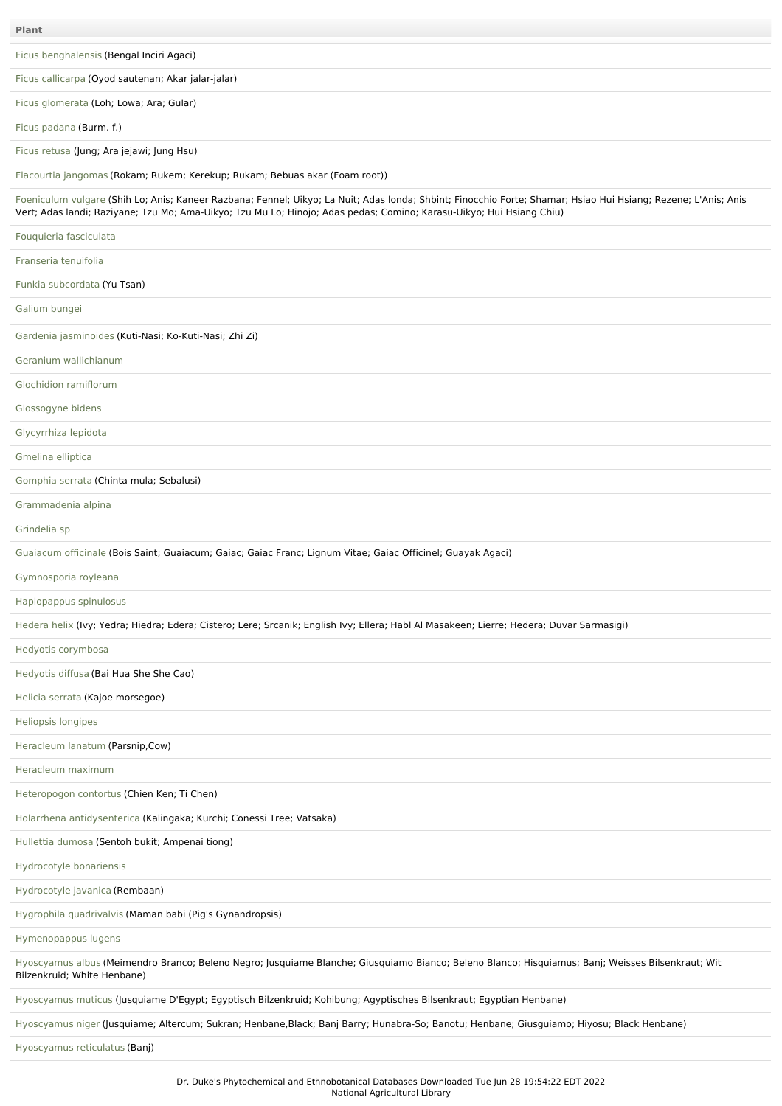| <b>Plant</b>                                                                                                                                                                                                                                                                           |
|----------------------------------------------------------------------------------------------------------------------------------------------------------------------------------------------------------------------------------------------------------------------------------------|
| Ficus benghalensis (Bengal Inciri Agaci)                                                                                                                                                                                                                                               |
| Ficus callicarpa (Oyod sautenan; Akar jalar-jalar)                                                                                                                                                                                                                                     |
| Ficus glomerata (Loh; Lowa; Ara; Gular)                                                                                                                                                                                                                                                |
| Ficus padana (Burm. f.)                                                                                                                                                                                                                                                                |
| Ficus retusa (Jung; Ara jejawi; Jung Hsu)                                                                                                                                                                                                                                              |
| Flacourtia jangomas (Rokam; Rukem; Kerekup; Rukam; Bebuas akar (Foam root))                                                                                                                                                                                                            |
| Foeniculum vulgare (Shih Lo; Anis; Kaneer Razbana; Fennel; Uikyo; La Nuit; Adas londa; Shbint; Finocchio Forte; Shamar; Hsiao Hui Hsiang; Rezene; L'Anis; Anis<br>Vert; Adas landi; Raziyane; Tzu Mo; Ama-Uikyo; Tzu Mu Lo; Hinojo; Adas pedas; Comino; Karasu-Uikyo; Hui Hsiang Chiu) |
| Fouquieria fasciculata                                                                                                                                                                                                                                                                 |
| Franseria tenuifolia                                                                                                                                                                                                                                                                   |
| Funkia subcordata (Yu Tsan)                                                                                                                                                                                                                                                            |
| Galium bungei                                                                                                                                                                                                                                                                          |
| Gardenia jasminoides (Kuti-Nasi; Ko-Kuti-Nasi; Zhi Zi)                                                                                                                                                                                                                                 |
| Geranium wallichianum                                                                                                                                                                                                                                                                  |
| Glochidion ramiflorum                                                                                                                                                                                                                                                                  |
| Glossogyne bidens                                                                                                                                                                                                                                                                      |
| Glycyrrhiza lepidota                                                                                                                                                                                                                                                                   |
| Gmelina elliptica                                                                                                                                                                                                                                                                      |
| Gomphia serrata (Chinta mula; Sebalusi)                                                                                                                                                                                                                                                |
| Grammadenia alpina                                                                                                                                                                                                                                                                     |
| Grindelia sp                                                                                                                                                                                                                                                                           |
| Guaiacum officinale (Bois Saint; Guaiacum; Gaiac; Gaiac Franc; Lignum Vitae; Gaiac Officinel; Guayak Agaci)                                                                                                                                                                            |
| Gymnosporia royleana                                                                                                                                                                                                                                                                   |
| Haplopappus spinulosus                                                                                                                                                                                                                                                                 |
| Hedera helix (Ivy; Yedra; Hiedra; Edera; Cistero; Lere; Srcanik; English Ivy; Ellera; Habl Al Masakeen; Lierre; Hedera; Duvar Sarmasigi)                                                                                                                                               |
| Hedyotis corymbosa                                                                                                                                                                                                                                                                     |
| Hedyotis diffusa (Bai Hua She She Cao)                                                                                                                                                                                                                                                 |
| Helicia serrata (Kajoe morsegoe)                                                                                                                                                                                                                                                       |
| Heliopsis longipes                                                                                                                                                                                                                                                                     |
| Heracleum lanatum (Parsnip, Cow)                                                                                                                                                                                                                                                       |
| Heracleum maximum                                                                                                                                                                                                                                                                      |
| Heteropogon contortus (Chien Ken; Ti Chen)                                                                                                                                                                                                                                             |
| Holarrhena antidysenterica (Kalingaka; Kurchi; Conessi Tree; Vatsaka)                                                                                                                                                                                                                  |
| Hullettia dumosa (Sentoh bukit; Ampenai tiong)                                                                                                                                                                                                                                         |
| Hydrocotyle bonariensis                                                                                                                                                                                                                                                                |
| Hydrocotyle javanica (Rembaan)                                                                                                                                                                                                                                                         |
| Hygrophila quadrivalvis (Maman babi (Pig's Gynandropsis)                                                                                                                                                                                                                               |
| Hymenopappus lugens                                                                                                                                                                                                                                                                    |
| Hyoscyamus albus (Meimendro Branco; Beleno Negro; Jusquiame Blanche; Giusquiamo Bianco; Beleno Blanco; Hisquiamus; Banj; Weisses Bilsenkraut; Wit<br>Bilzenkruid; White Henbane)                                                                                                       |
| Hyoscyamus muticus (Jusquiame D'Egypt; Egyptisch Bilzenkruid; Kohibung; Agyptisches Bilsenkraut; Egyptian Henbane)                                                                                                                                                                     |
| Hyoscyamus niger (Jusquiame; Altercum; Sukran; Henbane, Black; Banj Barry; Hunabra-So; Banotu; Henbane; Giusguiamo; Hiyosu; Black Henbane)                                                                                                                                             |

[Hyoscyamus](file:///phytochem/ethnoPlants/show/1541) reticulatus (Banj)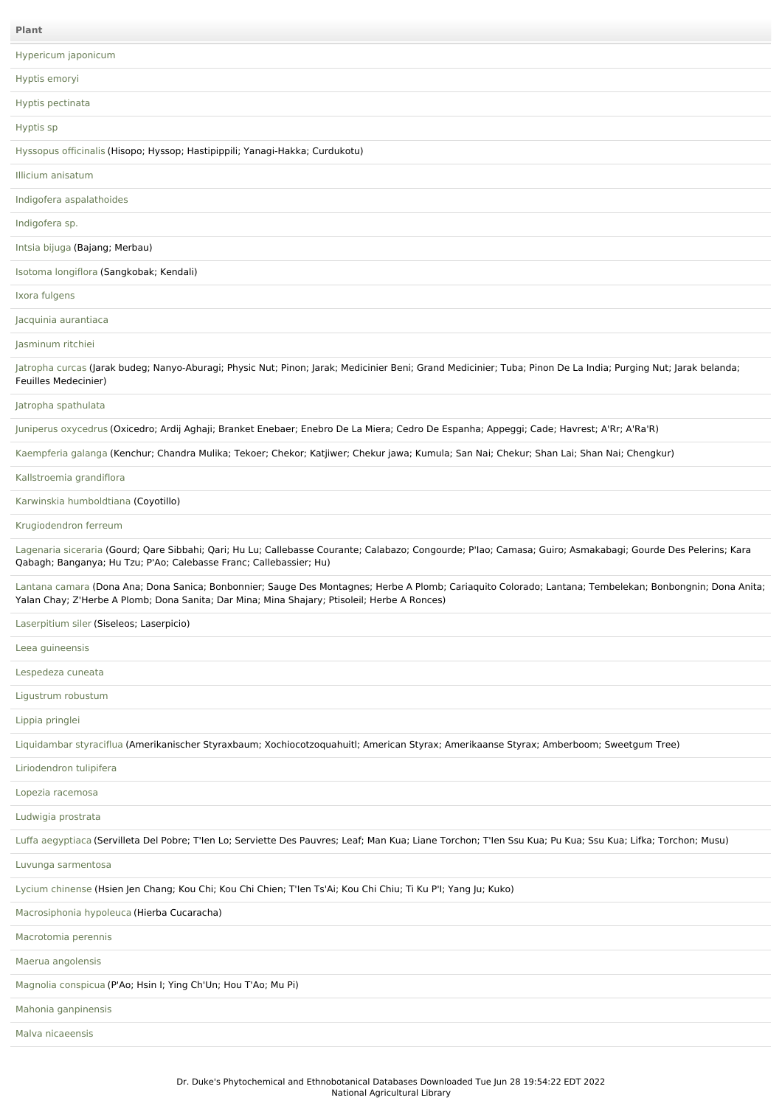| Plant                                                                                                                                                                                                                                                    |
|----------------------------------------------------------------------------------------------------------------------------------------------------------------------------------------------------------------------------------------------------------|
| Hypericum japonicum                                                                                                                                                                                                                                      |
| Hyptis emoryi                                                                                                                                                                                                                                            |
| Hyptis pectinata                                                                                                                                                                                                                                         |
| Hyptis sp                                                                                                                                                                                                                                                |
| Hyssopus officinalis (Hisopo; Hyssop; Hastipippili; Yanagi-Hakka; Curdukotu)                                                                                                                                                                             |
| Illicium anisatum                                                                                                                                                                                                                                        |
| Indigofera aspalathoides                                                                                                                                                                                                                                 |
| Indigofera sp.                                                                                                                                                                                                                                           |
| Intsia bijuga (Bajang; Merbau)                                                                                                                                                                                                                           |
| Isotoma longiflora (Sangkobak; Kendali)                                                                                                                                                                                                                  |
| Ixora fulgens                                                                                                                                                                                                                                            |
| Jacquinia aurantiaca                                                                                                                                                                                                                                     |
| Jasminum ritchiei                                                                                                                                                                                                                                        |
| Jatropha curcas (Jarak budeg; Nanyo-Aburagi; Physic Nut; Pinon; Jarak; Medicinier Beni; Grand Medicinier; Tuba; Pinon De La India; Purging Nut; Jarak belanda;<br>Feuilles Medecinier)                                                                   |
| Jatropha spathulata                                                                                                                                                                                                                                      |
| Juniperus oxycedrus (Oxicedro; Ardij Aghaji; Branket Enebaer; Enebro De La Miera; Cedro De Espanha; Appeggi; Cade; Havrest; A'Rr; A'Ra'R)                                                                                                                |
| Kaempferia galanga (Kenchur; Chandra Mulika; Tekoer; Chekor; Katjiwer; Chekur jawa; Kumula; San Nai; Chekur; Shan Lai; Shan Nai; Chengkur)                                                                                                               |
| Kallstroemia grandiflora                                                                                                                                                                                                                                 |
| Karwinskia humboldtiana (Coyotillo)                                                                                                                                                                                                                      |
| Krugiodendron ferreum                                                                                                                                                                                                                                    |
| Lagenaria siceraria (Gourd; Qare Sibbahi; Qari; Hu Lu; Callebasse Courante; Calabazo; Congourde; P'lao; Camasa; Guiro; Asmakabagi; Gourde Des Pelerins; Kara<br>Qabagh; Banganya; Hu Tzu; P'Ao; Calebasse Franc; Callebassier; Hu)                       |
| Lantana camara (Dona Ana; Dona Sanica; Bonbonnier; Sauge Des Montagnes; Herbe A Plomb; Cariaquito Colorado; Lantana; Tembelekan; Bonbongnin; Dona Anita;<br>Yalan Chay; Z'Herbe A Plomb; Dona Sanita; Dar Mina; Mina Shajary; Ptisoleil; Herbe A Ronces) |
| Laserpitium siler (Siseleos; Laserpicio)                                                                                                                                                                                                                 |
| Leea guineensis                                                                                                                                                                                                                                          |
| Lespedeza cuneata                                                                                                                                                                                                                                        |
| Ligustrum robustum                                                                                                                                                                                                                                       |
| Lippia pringlei                                                                                                                                                                                                                                          |
| Liquidambar styraciflua (Amerikanischer Styraxbaum; Xochiocotzoquahuitl; American Styrax; Amerikaanse Styrax; Amberboom; Sweetgum Tree)                                                                                                                  |
| Liriodendron tulipifera                                                                                                                                                                                                                                  |
| Lopezia racemosa                                                                                                                                                                                                                                         |
| Ludwigia prostrata                                                                                                                                                                                                                                       |
| Luffa aegyptiaca (Servilleta Del Pobre; T'len Lo; Serviette Des Pauvres; Leaf; Man Kua; Liane Torchon; T'len Ssu Kua; Pu Kua; Ssu Kua; Lifka; Torchon; Musu)                                                                                             |
| Luvunga sarmentosa                                                                                                                                                                                                                                       |
| Lycium chinense (Hsien Jen Chang; Kou Chi; Kou Chi Chien; T'len Ts'Ai; Kou Chi Chiu; Ti Ku P'l; Yang Ju; Kuko)                                                                                                                                           |
| Macrosiphonia hypoleuca (Hierba Cucaracha)                                                                                                                                                                                                               |
| Macrotomia perennis                                                                                                                                                                                                                                      |
| Maerua angolensis                                                                                                                                                                                                                                        |
| Magnolia conspicua (P'Ao; Hsin I; Ying Ch'Un; Hou T'Ao; Mu Pi)                                                                                                                                                                                           |
| Mahonia ganpinensis                                                                                                                                                                                                                                      |
| Malva nicaeensis                                                                                                                                                                                                                                         |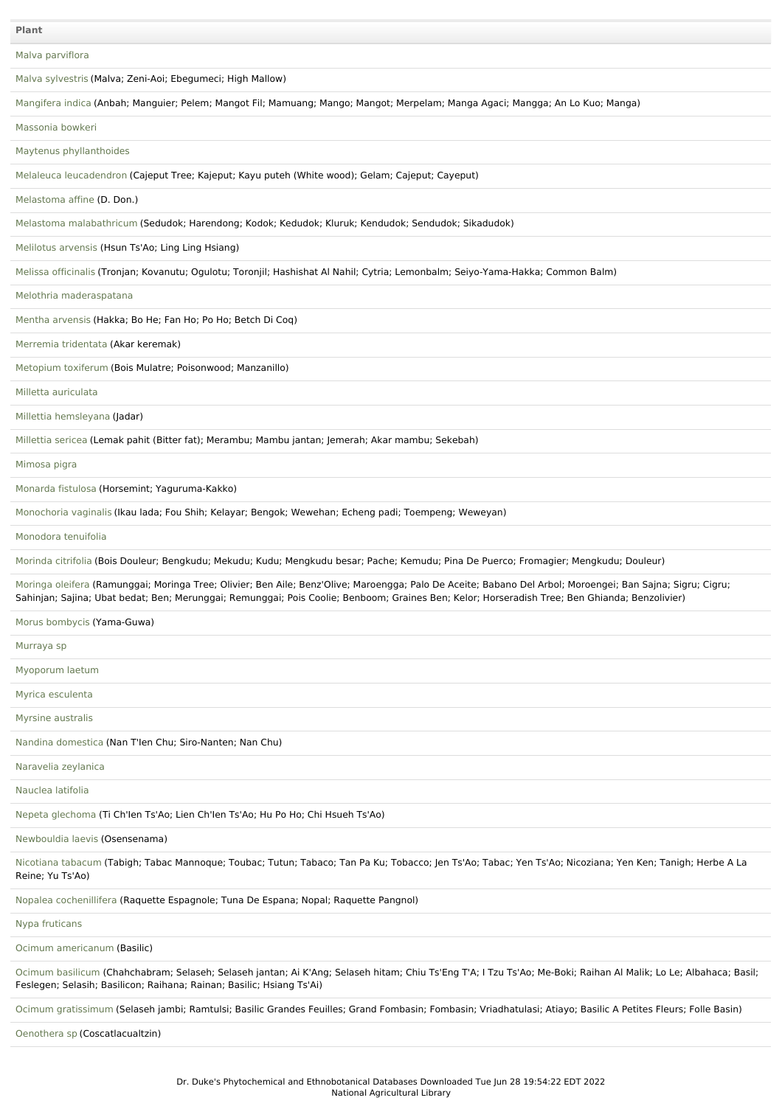Malva [parviflora](file:///phytochem/ethnoPlants/show/713)

Malva [sylvestris](file:///phytochem/ethnoPlants/show/2221) (Malva; Zeni-Aoi; Ebegumeci; High Mallow)

| Mangifera indica (Anbah; Manguier; Pelem; Mangot Fil; Mamuang; Mango; Mangot; Merpelam; Manga Agaci; Mangga; An Lo Kuo; Manga) |  |  |  |  |  |  |  |
|--------------------------------------------------------------------------------------------------------------------------------|--|--|--|--|--|--|--|
|--------------------------------------------------------------------------------------------------------------------------------|--|--|--|--|--|--|--|

[Massonia](file:///phytochem/ethnoPlants/show/4798) bowkeri

Maytenus [phyllanthoides](file:///phytochem/ethnoPlants/show/9617)

Melaleuca [leucadendron](file:///phytochem/ethnoPlants/show/546) (Cajeput Tree; Kajeput; Kayu puteh (White wood); Gelam; Cajeput; Cayeput)

[Melastoma](file:///phytochem/ethnoPlants/show/10317) affine (D. Don.)

Melastoma [malabathricum](file:///phytochem/ethnoPlants/show/6011) (Sedudok; Harendong; Kodok; Kedudok; Kluruk; Kendudok; Sendudok; Sikadudok)

[Melilotus](file:///phytochem/ethnoPlants/show/1729) arvensis (Hsun Ts'Ao; Ling Ling Hsiang)

Melissa [officinalis](file:///phytochem/ethnoPlants/show/715) (Tronjan; Kovanutu; Ogulotu; Toronjil; Hashishat Al Nahil; Cytria; Lemonbalm; Seiyo-Yama-Hakka; Common Balm)

Melothria [maderaspatana](file:///phytochem/ethnoPlants/show/4646)

Mentha [arvensis](file:///phytochem/ethnoPlants/show/414) (Hakka; Bo He; Fan Ho; Po Ho; Betch Di Coq)

Merremia [tridentata](file:///phytochem/ethnoPlants/show/7165) (Akar keremak)

[Metopium](file:///phytochem/ethnoPlants/show/8959) toxiferum (Bois Mulatre; Poisonwood; Manzanillo)

Milletta [auriculata](file:///phytochem/ethnoPlants/show/7981)

Millettia [hemsleyana](file:///phytochem/ethnoPlants/show/10318) (Jadar)

[Millettia](file:///phytochem/ethnoPlants/show/7169) sericea (Lemak pahit (Bitter fat); Merambu; Mambu jantan; Jemerah; Akar mambu; Sekebah)

[Mimosa](file:///phytochem/ethnoPlants/show/5017) pigra

[Monarda](file:///phytochem/ethnoPlants/show/720) fistulosa (Horsemint; Yaguruma-Kakko)

[Monochoria](file:///phytochem/ethnoPlants/show/3796) vaginalis (Ikau lada; Fou Shih; Kelayar; Bengok; Wewehan; Echeng padi; Toempeng; Weweyan)

[Monodora](file:///phytochem/ethnoPlants/show/11633) tenuifolia

[Morinda](file:///phytochem/ethnoPlants/show/1098) citrifolia (Bois Douleur; Bengkudu; Mekudu; Kudu; Mengkudu besar; Pache; Kemudu; Pina De Puerco; Fromagier; Mengkudu; Douleur)

[Moringa](file:///phytochem/ethnoPlants/show/206) oleifera (Ramunggai; Moringa Tree; Olivier; Ben Aile; Benz'Olive; Maroengga; Palo De Aceite; Babano Del Arbol; Moroengei; Ban Sajna; Sigru; Cigru; Sahinjan; Sajina; Ubat bedat; Ben; Merunggai; Remunggai; Pois Coolie; Benboom; Graines Ben; Kelor; Horseradish Tree; Ben Ghianda; Benzolivier)

Morus [bombycis](file:///phytochem/ethnoPlants/show/455) (Yama-Guwa)

[Murraya](file:///phytochem/ethnoPlants/show/12933) sp

[Myoporum](file:///phytochem/ethnoPlants/show/3967) laetum

Myrica [esculenta](file:///phytochem/ethnoPlants/show/726)

Myrsine [australis](file:///phytochem/ethnoPlants/show/10341)

Nandina [domestica](file:///phytochem/ethnoPlants/show/2338) (Nan T'Ien Chu; Siro-Nanten; Nan Chu)

[Naravelia](file:///phytochem/ethnoPlants/show/728) zeylanica

[Nauclea](file:///phytochem/ethnoPlants/show/1739) latifolia

Nepeta [glechoma](file:///phytochem/ethnoPlants/show/523) (Ti Ch'Ien Ts'Ao; Lien Ch'Ien Ts'Ao; Hu Po Ho; Chi Hsueh Ts'Ao)

[Newbouldia](file:///phytochem/ethnoPlants/show/525) laevis (Osensenama)

[Nicotiana](file:///phytochem/ethnoPlants/show/456) tabacum (Tabigh; Tabac Mannoque; Toubac; Tutun; Tabaco; Tan Pa Ku; Tobacco; Jen Ts'Ao; Tabac; Yen Ts'Ao; Nicoziana; Yen Ken; Tanigh; Herbe A La Reine; Yu Ts'Ao)

Nopalea [cochenillifera](file:///phytochem/ethnoPlants/show/526) (Raquette Espagnole; Tuna De Espana; Nopal; Raquette Pangnol)

Nypa [fruticans](file:///phytochem/ethnoPlants/show/7664)

Ocimum [americanum](file:///phytochem/ethnoPlants/show/3917) (Basilic)

Ocimum [basilicum](file:///phytochem/ethnoPlants/show/527) (Chahchabram; Selaseh; Selaseh jantan; Ai K'Ang; Selaseh hitam; Chiu Ts'Eng T'A; I Tzu Ts'Ao; Me-Boki; Raihan Al Malik; Lo Le; Albahaca; Basil; Feslegen; Selasih; Basilicon; Raihana; Rainan; Basilic; Hsiang Ts'Ai)

Ocimum [gratissimum](file:///phytochem/ethnoPlants/show/735) (Selaseh jambi; Ramtulsi; Basilic Grandes Feuilles; Grand Fombasin; Fombasin; Vriadhatulasi; Atiayo; Basilic A Petites Fleurs; Folle Basin)

[Oenothera](file:///phytochem/ethnoPlants/show/10342) sp (Coscatlacualtzin)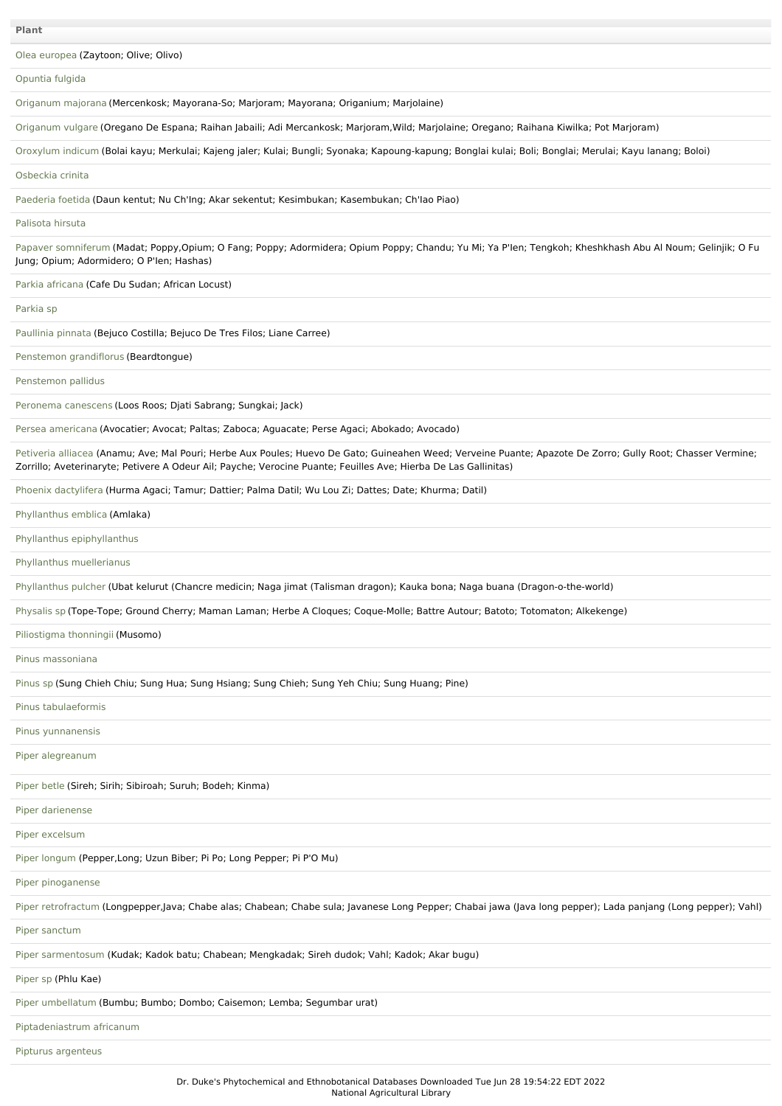Olea [europea](file:///phytochem/ethnoPlants/show/530) (Zaytoon; Olive; Olivo)

| Opuntia fulgida |  |
|-----------------|--|
|-----------------|--|

[Origanum](file:///phytochem/ethnoPlants/show/2569) majorana (Mercenkosk; Mayorana-So; Marjoram; Mayorana; Origanium; Marjolaine)

[Origanum](file:///phytochem/ethnoPlants/show/531) vulgare (Oregano De Espana; Raihan Jabaili; Adi Mercankosk; Marjoram,Wild; Marjolaine; Oregano; Raihana Kiwilka; Pot Marjoram)

[Oroxylum](file:///phytochem/ethnoPlants/show/738) indicum (Bolai kayu; Merkulai; Kajeng jaler; Kulai; Bungli; Syonaka; Kapoung-kapung; Bonglai kulai; Boli; Bonglai; Merulai; Kayu lanang; Boloi)

[Osbeckia](file:///phytochem/ethnoPlants/show/10343) crinita

[Paederia](file:///phytochem/ethnoPlants/show/1100) foetida (Daun kentut; Nu Ch'Ing; Akar sekentut; Kesimbukan; Kasembukan; Ch'Iao Piao)

[Palisota](file:///phytochem/ethnoPlants/show/549) hirsuta

Papaver [somniferum](file:///phytochem/ethnoPlants/show/744) (Madat; Poppy,Opium; O Fang; Poppy; Adormidera; Opium Poppy; Chandu; Yu Mi; Ya P'Ien; Tengkoh; Kheshkhash Abu Al Noum; Gelinjik; O Fu Jung; Opium; Adormidero; O P'Ien; Hashas)

Parkia [africana](file:///phytochem/ethnoPlants/show/4939) (Cafe Du Sudan; African Locust)

[Parkia](file:///phytochem/ethnoPlants/show/11367) sp

[Paullinia](file:///phytochem/ethnoPlants/show/87) pinnata (Bejuco Costilla; Bejuco De Tres Filos; Liane Carree)

Penstemon [grandiflorus](file:///phytochem/ethnoPlants/show/12648) (Beardtongue)

[Penstemon](file:///phytochem/ethnoPlants/show/1067) pallidus

[Peronema](file:///phytochem/ethnoPlants/show/8372) canescens (Loos Roos; Djati Sabrang; Sungkai; Jack)

Persea [americana](file:///phytochem/ethnoPlants/show/751) (Avocatier; Avocat; Paltas; Zaboca; Aguacate; Perse Agaci; Abokado; Avocado)

[Petiveria](file:///phytochem/ethnoPlants/show/211) alliacea (Anamu; Ave; Mal Pouri; Herbe Aux Poules; Huevo De Gato; Guineahen Weed; Verveine Puante; Apazote De Zorro; Gully Root; Chasser Vermine; Zorrillo; Aveterinaryte; Petivere A Odeur Ail; Payche; Verocine Puante; Feuilles Ave; Hierba De Las Gallinitas)

Phoenix [dactylifera](file:///phytochem/ethnoPlants/show/957) (Hurma Agaci; Tamur; Dattier; Palma Datil; Wu Lou Zi; Dattes; Date; Khurma; Datil)

[Phyllanthus](file:///phytochem/ethnoPlants/show/1031) emblica (Amlaka)

Phyllanthus [epiphyllanthus](file:///phytochem/ethnoPlants/show/4656)

Phyllanthus [muellerianus](file:///phytochem/ethnoPlants/show/1761)

[Phyllanthus](file:///phytochem/ethnoPlants/show/4514) pulcher (Ubat kelurut (Chancre medicin; Naga jimat (Talisman dragon); Kauka bona; Naga buana (Dragon-o-the-world)

[Physalis](file:///phytochem/ethnoPlants/show/6275) sp (Tope-Tope; Ground Cherry; Maman Laman; Herbe A Cloques; Coque-Molle; Battre Autour; Batoto; Totomaton; Alkekenge)

[Piliostigma](file:///phytochem/ethnoPlants/show/959) thonningii (Musomo)

Pinus [massoniana](file:///phytochem/ethnoPlants/show/2707)

[Pinus](file:///phytochem/ethnoPlants/show/1768) sp (Sung Chieh Chiu; Sung Hua; Sung Hsiang; Sung Chieh; Sung Yeh Chiu; Sung Huang; Pine)

Pinus [tabulaeformis](file:///phytochem/ethnoPlants/show/2708)

Pinus [yunnanensis](file:///phytochem/ethnoPlants/show/2709)

Piper [alegreanum](file:///phytochem/ethnoPlants/show/10344)

[Piper](file:///phytochem/ethnoPlants/show/366) betle (Sireh; Sirih; Sibiroah; Suruh; Bodeh; Kinma)

Piper [darienense](file:///phytochem/ethnoPlants/show/3586)

Piper [excelsum](file:///phytochem/ethnoPlants/show/962)

Piper [longum](file:///phytochem/ethnoPlants/show/759) (Pepper,Long; Uzun Biber; Pi Po; Long Pepper; Pi P'O Mu)

Piper [pinoganense](file:///phytochem/ethnoPlants/show/10345)

Piper [retrofractum](file:///phytochem/ethnoPlants/show/2579) (Longpepper,Java; Chabe alas; Chabean; Chabe sula; Javanese Long Pepper; Chabai jawa (Java long pepper); Lada panjang (Long pepper); Vahl)

Piper [sanctum](file:///phytochem/ethnoPlants/show/94)

Piper [sarmentosum](file:///phytochem/ethnoPlants/show/1769) (Kudak; Kadok batu; Chabean; Mengkadak; Sireh dudok; Vahl; Kadok; Akar bugu)

[Piper](file:///phytochem/ethnoPlants/show/215) sp (Phlu Kae)

Piper [umbellatum](file:///phytochem/ethnoPlants/show/843) (Bumbu; Bumbo; Dombo; Caisemon; Lemba; Segumbar urat)

[Piptadeniastrum](file:///phytochem/ethnoPlants/show/216) africanum

Pipturus [argenteus](file:///phytochem/ethnoPlants/show/963)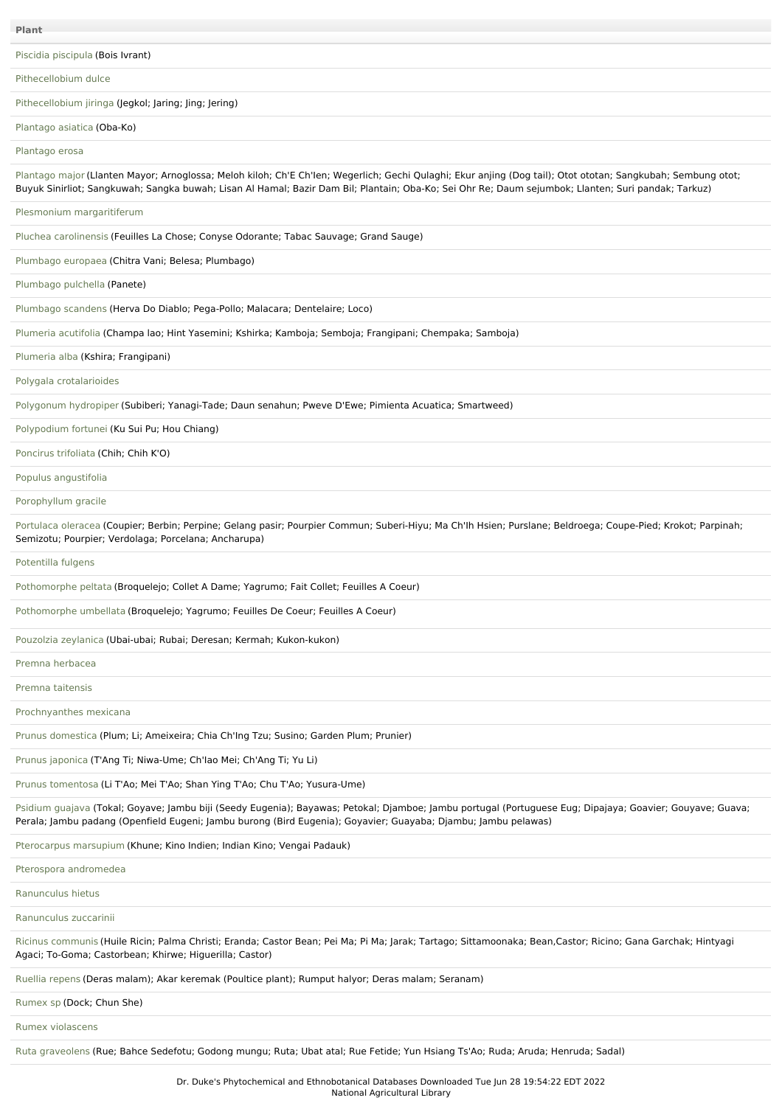## Piscidia [piscipula](file:///phytochem/ethnoPlants/show/761) (Bois Ivrant)

[Pithecellobium](file:///phytochem/ethnoPlants/show/533) dulce

[Pithecellobium](file:///phytochem/ethnoPlants/show/1771) jiringa (Jegkol; Jaring; Jing; Jering)

#### [Plantago](file:///phytochem/ethnoPlants/show/534) asiatica (Oba-Ko)

[Plantago](file:///phytochem/ethnoPlants/show/764) erosa

[Plantago](file:///phytochem/ethnoPlants/show/535) major (Llanten Mayor; Arnoglossa; Meloh kiloh; Ch'E Ch'len; Wegerlich; Gechi Qulaghi; Ekur anjing (Dog tail); Otot ototan; Sangkubah; Sembung otot; Buyuk Sinirliot; Sangkuwah; Sangka buwah; Lisan Al Hamal; Bazir Dam Bil; Plantain; Oba-Ko; Sei Ohr Re; Daum sejumbok; Llanten; Suri pandak; Tarkuz)

Plesmonium [margaritiferum](file:///phytochem/ethnoPlants/show/3974)

Pluchea [carolinensis](file:///phytochem/ethnoPlants/show/765) (Feuilles La Chose; Conyse Odorante; Tabac Sauvage; Grand Sauge)

[Plumbago](file:///phytochem/ethnoPlants/show/5698) europaea (Chitra Vani; Belesa; Plumbago)

[Plumbago](file:///phytochem/ethnoPlants/show/4277) pulchella (Panete)

[Plumbago](file:///phytochem/ethnoPlants/show/969) scandens (Herva Do Diablo; Pega-Pollo; Malacara; Dentelaire; Loco)

[Plumeria](file:///phytochem/ethnoPlants/show/3975) acutifolia (Champa lao; Hint Yasemini; Kshirka; Kamboja; Semboja; Frangipani; Chempaka; Samboja)

[Plumeria](file:///phytochem/ethnoPlants/show/368) alba (Kshira; Frangipani)

Polygala [crotalarioides](file:///phytochem/ethnoPlants/show/768)

[Polygonum](file:///phytochem/ethnoPlants/show/2683) hydropiper (Subiberi; Yanagi-Tade; Daun senahun; Pweve D'Ewe; Pimienta Acuatica; Smartweed)

[Polypodium](file:///phytochem/ethnoPlants/show/7316) fortunei (Ku Sui Pu; Hou Chiang)

[Poncirus](file:///phytochem/ethnoPlants/show/4662) trifoliata (Chih; Chih K'O)

Populus [angustifolia](file:///phytochem/ethnoPlants/show/5785)

[Porophyllum](file:///phytochem/ethnoPlants/show/5032) gracile

[Portulaca](file:///phytochem/ethnoPlants/show/1162) oleracea (Coupier; Berbin; Perpine; Gelang pasir; Pourpier Commun; Suberi-Hiyu; Ma Ch'lh Hsien; Purslane; Beldroega; Coupe-Pied; Krokot; Parpinah; Semizotu; Pourpier; Verdolaga; Porcelana; Ancharupa)

[Potentilla](file:///phytochem/ethnoPlants/show/10346) fulgens

[Pothomorphe](file:///phytochem/ethnoPlants/show/373) peltata (Broquelejo; Collet A Dame; Yagrumo; Fait Collet; Feuilles A Coeur)

[Pothomorphe](file:///phytochem/ethnoPlants/show/406) umbellata (Broquelejo; Yagrumo; Feuilles De Coeur; Feuilles A Coeur)

[Pouzolzia](file:///phytochem/ethnoPlants/show/972) zeylanica (Ubai-ubai; Rubai; Deresan; Kermah; Kukon-kukon)

Premna [herbacea](file:///phytochem/ethnoPlants/show/2856)

Premna [taitensis](file:///phytochem/ethnoPlants/show/771)

[Prochnyanthes](file:///phytochem/ethnoPlants/show/3597) mexicana

Prunus [domestica](file:///phytochem/ethnoPlants/show/2479) (Plum; Li; Ameixeira; Chia Ch'Ing Tzu; Susino; Garden Plum; Prunier)

Prunus [japonica](file:///phytochem/ethnoPlants/show/4544) (T'Ang Ti; Niwa-Ume; Ch'Iao Mei; Ch'Ang Ti; Yu Li)

Prunus [tomentosa](file:///phytochem/ethnoPlants/show/4545) (Li T'Ao; Mei T'Ao; Shan Ying T'Ao; Chu T'Ao; Yusura-Ume)

[Psidium](file:///phytochem/ethnoPlants/show/977) guajava (Tokal; Goyave; Jambu biji (Seedy Eugenia); Bayawas; Petokal; Djamboe; Jambu portugal (Portuguese Eug; Dipajaya; Goavier; Gouyave; Guava; Perala; Jambu padang (Openfield Eugeni; Jambu burong (Bird Eugenia); Goyavier; Guayaba; Djambu; Jambu pelawas)

[Pterocarpus](file:///phytochem/ethnoPlants/show/980) marsupium (Khune; Kino Indien; Indian Kino; Vengai Padauk)

Pterospora [andromedea](file:///phytochem/ethnoPlants/show/7514)

[Ranunculus](file:///phytochem/ethnoPlants/show/271) hietus

[Ranunculus](file:///phytochem/ethnoPlants/show/5298) zuccarinii

Ricinus [communis](file:///phytochem/ethnoPlants/show/376) (Huile Ricin; Palma Christi; Eranda; Castor Bean; Pei Ma; Pi Ma; Jarak; Tartago; Sittamoonaka; Bean,Castor; Ricino; Gana Garchak; Hintyagi Agaci; To-Goma; Castorbean; Khirwe; Higuerilla; Castor)

[Ruellia](file:///phytochem/ethnoPlants/show/2643) repens (Deras malam); Akar keremak (Poultice plant); Rumput halyor; Deras malam; Seranam)

[Rumex](file:///phytochem/ethnoPlants/show/9132) sp (Dock; Chun She)

Rumex [violascens](file:///phytochem/ethnoPlants/show/2267)

Ruta [graveolens](file:///phytochem/ethnoPlants/show/232) (Rue; Bahce Sedefotu; Godong mungu; Ruta; Ubat atal; Rue Fetide; Yun Hsiang Ts'Ao; Ruda; Aruda; Henruda; Sadal)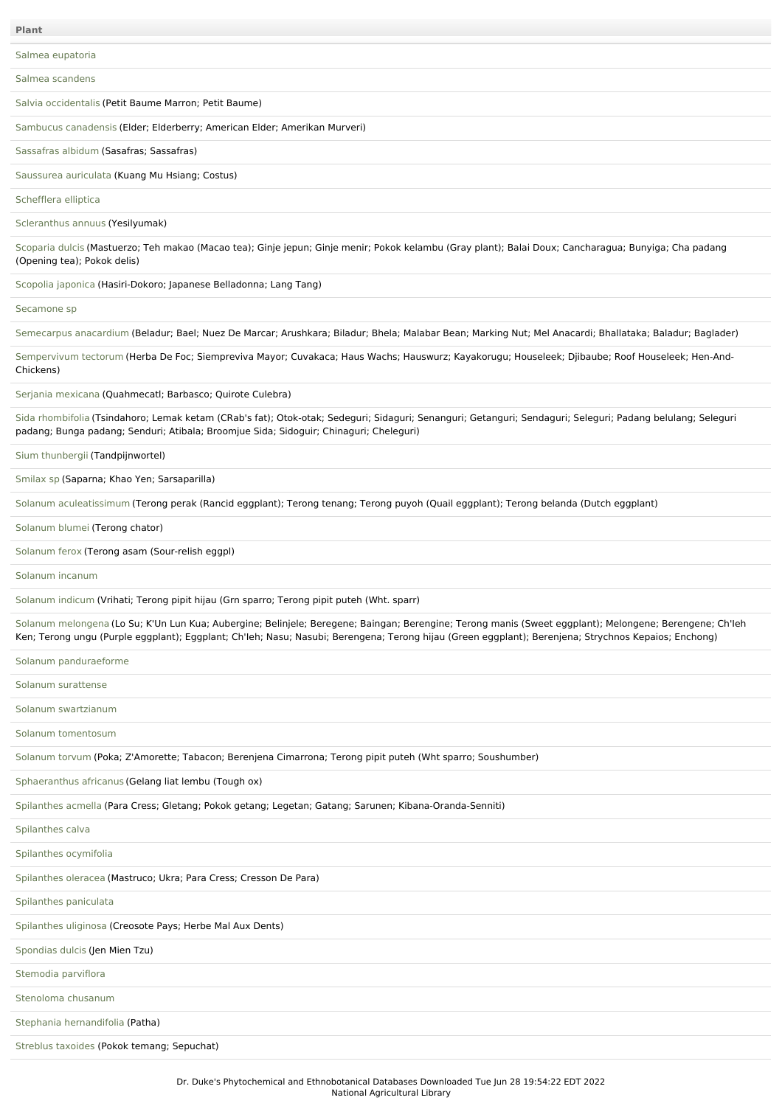Salmea [scandens](file:///phytochem/ethnoPlants/show/8787)

Salvia [occidentalis](file:///phytochem/ethnoPlants/show/987) (Petit Baume Marron; Petit Baume)

Sambucus [canadensis](file:///phytochem/ethnoPlants/show/785) (Elder; Elderberry; American Elder; Amerikan Murveri)

[Sassafras](file:///phytochem/ethnoPlants/show/1341) albidum (Sasafras; Sassafras)

[Saussurea](file:///phytochem/ethnoPlants/show/4609) auriculata (Kuang Mu Hsiang; Costus)

[Schefflera](file:///phytochem/ethnoPlants/show/10348) elliptica

[Scleranthus](file:///phytochem/ethnoPlants/show/4326) annuus (Yesilyumak)

[Scoparia](file:///phytochem/ethnoPlants/show/539) dulcis (Mastuerzo; Teh makao (Macao tea); Ginje jepun; Ginje menir; Pokok kelambu (Gray plant); Balai Doux; Cancharagua; Bunyiga; Cha padang (Opening tea); Pokok delis)

[Scopolia](file:///phytochem/ethnoPlants/show/1805) japonica (Hasiri-Dokoro; Japanese Belladonna; Lang Tang)

[Secamone](file:///phytochem/ethnoPlants/show/10349) sp

[Semecarpus](file:///phytochem/ethnoPlants/show/790) anacardium (Beladur; Bael; Nuez De Marcar; Arushkara; Biladur; Bhela; Malabar Bean; Marking Nut; Mel Anacardi; Bhallataka; Baladur; Baglader)

[Sempervivum](file:///phytochem/ethnoPlants/show/1343) tectorum (Herba De Foc; Siempreviva Mayor; Cuvakaca; Haus Wachs; Hauswurz; Kayakorugu; Houseleek; Djibaube; Roof Houseleek; Hen-And-Chickens)

Serjania [mexicana](file:///phytochem/ethnoPlants/show/8793) (Quahmecatl; Barbasco; Quirote Culebra)

Sida [rhombifolia](file:///phytochem/ethnoPlants/show/113) (Tsindahoro; Lemak ketam (CRab's fat); Otok-otak; Sedeguri; Sidaguri; Senanguri; Getanguri; Sendaguri; Padang belulang; Seleguri padang; Bunga padang; Senduri; Atibala; Broomjue Sida; Sidoguir; Chinaguri; Cheleguri)

Sium [thunbergii](file:///phytochem/ethnoPlants/show/10350) (Tandpijnwortel)

[Smilax](file:///phytochem/ethnoPlants/show/1348) sp (Saparna; Khao Yen; Sarsaparilla)

Solanum [aculeatissimum](file:///phytochem/ethnoPlants/show/3350) (Terong perak (Rancid eggplant); Terong tenang; Terong puyoh (Quail eggplant); Terong belanda (Dutch eggplant)

## [Solanum](file:///phytochem/ethnoPlants/show/12641) blumei (Terong chator)

[Solanum](file:///phytochem/ethnoPlants/show/1819) ferox (Terong asam (Sour-relish eggpl)

[Solanum](file:///phytochem/ethnoPlants/show/995) incanum

[Solanum](file:///phytochem/ethnoPlants/show/5117) indicum (Vrihati; Terong pipit hijau (Grn sparro; Terong pipit puteh (Wht. sparr)

Solanum [melongena](file:///phytochem/ethnoPlants/show/389) (Lo Su; K'Un Lun Kua; Aubergine; Belinjele; Beregene; Baingan; Berengine; Terong manis (Sweet eggplant); Melongene; Berengene; Ch'Ieh Ken; Terong ungu (Purple eggplant); Eggplant; Ch'Ieh; Nasu; Nasubi; Berengena; Terong hijau (Green eggplant); Berenjena; Strychnos Kepaios; Enchong)

Solanum [panduraeforme](file:///phytochem/ethnoPlants/show/11503)

Solanum [surattense](file:///phytochem/ethnoPlants/show/1820)

Solanum [swartzianum](file:///phytochem/ethnoPlants/show/5797)

Solanum [tomentosum](file:///phytochem/ethnoPlants/show/10351)

[Solanum](file:///phytochem/ethnoPlants/show/1990) torvum (Poka; Z'Amorette; Tabacon; Berenjena Cimarrona; Terong pipit puteh (Wht sparro; Soushumber)

[Sphaeranthus](file:///phytochem/ethnoPlants/show/1351) africanus (Gelang liat lembu (Tough ox)

[Spilanthes](file:///phytochem/ethnoPlants/show/6309) acmella (Para Cress; Gletang; Pokok getang; Legetan; Gatang; Sarunen; Kibana-Oranda-Senniti)

[Spilanthes](file:///phytochem/ethnoPlants/show/6310) calva

[Spilanthes](file:///phytochem/ethnoPlants/show/8338) ocymifolia

[Spilanthes](file:///phytochem/ethnoPlants/show/3688) oleracea (Mastruco; Ukra; Para Cress; Cresson De Para)

[Spilanthes](file:///phytochem/ethnoPlants/show/1545) paniculata

[Spilanthes](file:///phytochem/ethnoPlants/show/10352) uliginosa (Creosote Pays; Herbe Mal Aux Dents)

[Spondias](file:///phytochem/ethnoPlants/show/1991) dulcis (Jen Mien Tzu)

[Stemodia](file:///phytochem/ethnoPlants/show/10353) parviflora

[Stenoloma](file:///phytochem/ethnoPlants/show/10354) chusanum

Stephania [hernandifolia](file:///phytochem/ethnoPlants/show/118) (Patha)

[Streblus](file:///phytochem/ethnoPlants/show/7382) taxoides (Pokok temang; Sepuchat)